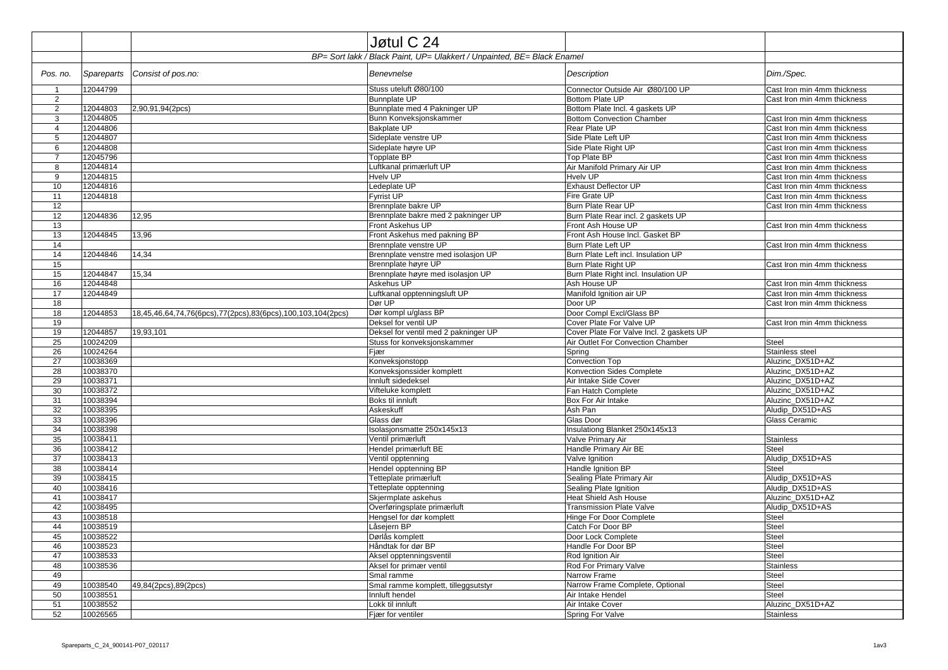|                 |                      |                                                             | Jøtul C 24                                                              |                                                            |                                     |
|-----------------|----------------------|-------------------------------------------------------------|-------------------------------------------------------------------------|------------------------------------------------------------|-------------------------------------|
|                 |                      |                                                             | BP= Sort lakk / Black Paint, UP= Ulakkert / Unpainted, BE= Black Enamel |                                                            |                                     |
| Pos. no.        | <b>Spareparts</b>    | Consist of pos.no:                                          | Benevnelse                                                              | <b>Description</b>                                         | Dim./Spec.                          |
| $\overline{1}$  | 12044799             |                                                             | Stuss uteluft Ø80/100                                                   | Connector Outside Air Ø80/100 UP                           | Cast Iron min 4mm thickness         |
| $\overline{2}$  |                      |                                                             | <b>Bunnplate UP</b>                                                     | Bottom Plate UP                                            | Cast Iron min 4mm thickness         |
| $\overline{2}$  | 12044803             | 2,90,91,94(2pcs)                                            | Bunnplate med 4 Pakninger UP                                            | Bottom Plate Incl. 4 gaskets UP                            |                                     |
| 3               | 12044805             |                                                             | Bunn Konveksjonskammer                                                  | <b>Bottom Convection Chamber</b>                           | Cast Iron min 4mm thickness         |
| $\overline{4}$  | 12044806             |                                                             | <b>Bakplate UP</b>                                                      | Rear Plate UP                                              | Cast Iron min 4mm thickness         |
| 5               | 12044807             |                                                             | Sideplate venstre UP                                                    | Side Plate Left UP                                         | Cast Iron min 4mm thickness         |
| 6               | 12044808             |                                                             | Sideplate høyre UP                                                      | Side Plate Right UP                                        | Cast Iron min 4mm thickness         |
| $\overline{7}$  | 12045796             |                                                             | Topplate BP                                                             | Top Plate BP                                               | Cast Iron min 4mm thickness         |
| 8               | 12044814             |                                                             | Luftkanal primærluft UP                                                 | Air Manifold Primary Air UP                                | Cast Iron min 4mm thickness         |
| 9               | 12044815             |                                                             | <b>Hvelv UP</b>                                                         | <b>Hvelv UP</b>                                            | Cast Iron min 4mm thickness         |
| 10              | 12044816             |                                                             | Ledeplate UP                                                            | <b>Exhaust Deflector UP</b>                                | Cast Iron min 4mm thickness         |
| 11              | 12044818             |                                                             | <b>Fyrrist UP</b>                                                       | Fire Grate UP                                              | Cast Iron min 4mm thickness         |
| 12              |                      |                                                             | Brennplate bakre UP                                                     | Burn Plate Rear UP                                         | Cast Iron min 4mm thickness         |
| 12              | 12044836             | 12,95                                                       | Brennplate bakre med 2 pakninger UP                                     | Burn Plate Rear incl. 2 gaskets UP                         |                                     |
| 13              |                      |                                                             | Front Askehus UP                                                        | Front Ash House UP                                         | Cast Iron min 4mm thickness         |
| 13              | 12044845             | 13,96                                                       | Front Askehus med pakning BP                                            | Front Ash House Incl. Gasket BP                            |                                     |
| 14              |                      |                                                             | Brennplate venstre UP                                                   | Burn Plate Left UP                                         | Cast Iron min 4mm thickness         |
| 14              | 12044846             | 14,34                                                       | Brennplate venstre med isolasjon UP                                     | Burn Plate Left incl. Insulation UP                        |                                     |
| 15              |                      |                                                             | Brennplate høyre UP                                                     | Burn Plate Right UP                                        | Cast Iron min 4mm thickness         |
| 15              | 12044847             | 15,34                                                       | Brennplate høyre med isolasjon UP                                       | Burn Plate Right incl. Insulation UP                       |                                     |
| 16              | 12044848             |                                                             | Askehus UP                                                              | Ash House UP                                               | Cast Iron min 4mm thickness         |
| 17              | 12044849             |                                                             | Luftkanal opptenningsluft UP                                            | Manifold Ignition air UP                                   | Cast Iron min 4mm thickness         |
| 18              |                      |                                                             | Dør UP                                                                  | Door UP                                                    | Cast Iron min 4mm thickness         |
| 18              | 12044853             | 18,45,46,64,74,76(6pcs),77(2pcs),83(6pcs),100,103,104(2pcs) | Dør kompl u/glass BP                                                    | Door Compl Excl/Glass BP                                   |                                     |
| 19              |                      |                                                             | Deksel for ventil UP                                                    | Cover Plate For Valve UP                                   | Cast Iron min 4mm thickness         |
| 19              | 12044857             | 19,93,101                                                   | Deksel for ventil med 2 pakninger UP                                    | Cover Plate For Valve Incl. 2 gaskets UP                   |                                     |
| 25              | 10024209             |                                                             | Stuss for konveksjonskammer                                             | Air Outlet For Convection Chamber                          | Steel                               |
| 26              | 10024264             |                                                             | Fjær                                                                    | Spring                                                     | Stainless steel                     |
| 27              | 10038369             |                                                             | Konveksjonstopp                                                         | Convection Top                                             | Aluzinc DX51D+AZ                    |
| 28              | 10038370             |                                                             | Konveksjonssider komplett                                               | Konvection Sides Complete                                  | Aluzinc_DX51D+AZ                    |
| 29              | 10038371             |                                                             | Innluft sidedeksel                                                      | Air Intake Side Cover                                      | Aluzinc_DX51D+AZ                    |
| 30              | 10038372             |                                                             | Vifteluke komplett                                                      | Fan Hatch Complete                                         | Aluzinc DX51D+AZ                    |
| 31              | 10038394             |                                                             | Boks til innluft                                                        | <b>Box For Air Intake</b>                                  | Aluzinc DX51D+AZ                    |
| 32              | 10038395             |                                                             | Askeskuff                                                               | Ash Pan                                                    | Aludip_DX51D+AS                     |
| 33              | 10038396             |                                                             | Glass dør                                                               | Glas Door                                                  | Glass Ceramic                       |
| 34              | 10038398             |                                                             | Isolasjonsmatte 250x145x13                                              | Insulationg Blanket 250x145x13                             |                                     |
| 35              | 10038411             |                                                             | Ventil primærluft                                                       | Valve Primary Air                                          | <b>Stainless</b>                    |
| 36              | 10038412             |                                                             | Hendel primærluft BE                                                    | Handle Primary Air BE                                      | Steel                               |
| 37              | 10038413             |                                                             | Ventil opptenning                                                       | Valve Ignition                                             | Aludip DX51D+AS                     |
| 38              | 10038414             |                                                             | Hendel opptenning BP                                                    | Handle Ignition BP                                         | <b>Steel</b>                        |
| 39              | 10038415             |                                                             | Tetteplate primærluft                                                   | Sealing Plate Primary Air                                  | Aludip DX51D+AS                     |
| 40              | 10038416             |                                                             | Tetteplate opptenning                                                   | Sealing Plate Ignition                                     | Aludip DX51D+AS                     |
| 41<br>42        | 10038417<br>10038495 |                                                             | Skjermplate askehus                                                     | <b>Heat Shield Ash House</b>                               | Aluzinc_DX51D+AZ<br>Aludip DX51D+AS |
| 43              | 10038518             |                                                             | Overføringsplate primærluft<br>Hengsel for dør komplett                 | <b>Transmission Plate Valve</b><br>Hinge For Door Complete | Steel                               |
| 44              | 10038519             |                                                             | Låsejern BP                                                             | Catch For Door BP                                          | Steel                               |
| 45              | 10038522             |                                                             | Dørlås komplett                                                         | Door Lock Complete                                         | <b>Steel</b>                        |
| 46              | 10038523             |                                                             | Håndtak for dør BP                                                      | Handle For Door BP                                         | Steel                               |
| 47              | 10038533             |                                                             | Aksel opptenningsventil                                                 | Rod Ignition Air                                           | Steel                               |
| 48              | 10038536             |                                                             | Aksel for primær ventil                                                 | Rod For Primary Valve                                      | <b>Stainless</b>                    |
| 49              |                      |                                                             | Smal ramme                                                              | Narrow Frame                                               | Steel                               |
| 49              | 10038540             | 49,84(2pcs),89(2pcs)                                        | Smal ramme komplett, tilleggsutstyr                                     | Narrow Frame Complete, Optional                            | Steel                               |
| 50              | 10038551             |                                                             | Innluft hendel                                                          | Air Intake Hendel                                          | <b>Steel</b>                        |
| 51              | 10038552             |                                                             | Lokk til innluft                                                        | Air Intake Cover                                           | Aluzinc_DX51D+AZ                    |
| $\overline{52}$ | 10026565             |                                                             | Fjær for ventiler                                                       | Spring For Valve                                           | <b>Stainless</b>                    |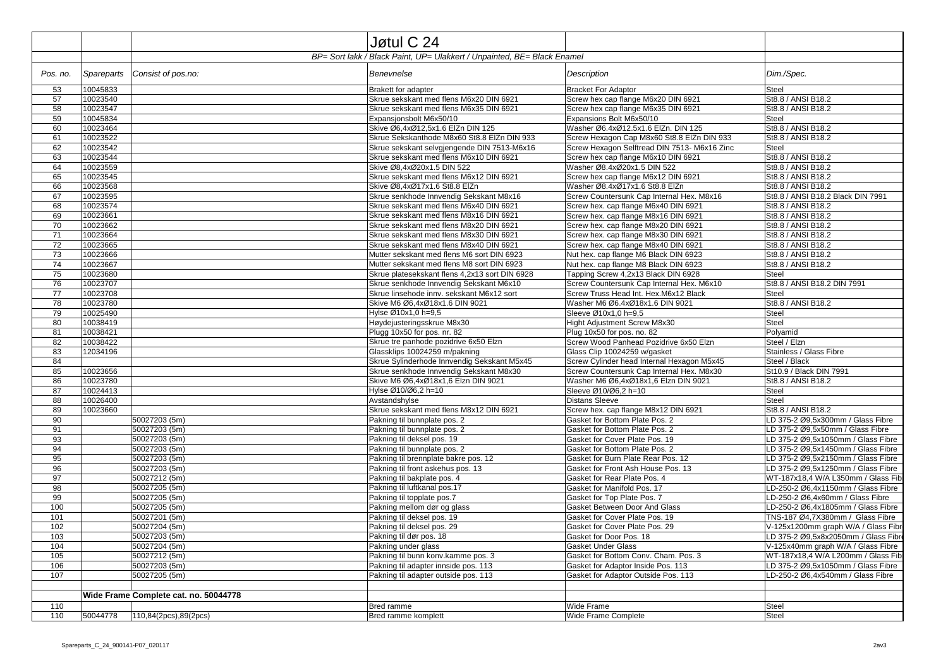|          |                      |                                                                         | Jøtul C 24                                                               |                                                                             |                                                                          |
|----------|----------------------|-------------------------------------------------------------------------|--------------------------------------------------------------------------|-----------------------------------------------------------------------------|--------------------------------------------------------------------------|
|          |                      | BP= Sort lakk / Black Paint, UP= Ulakkert / Unpainted, BE= Black Enamel |                                                                          |                                                                             |                                                                          |
| Pos. no. | <b>Spareparts</b>    | Consist of pos.no:                                                      | Benevnelse                                                               | Description                                                                 | Dim./Spec.                                                               |
| 53       | 10045833             |                                                                         | Brakett for adapter                                                      | <b>Bracket For Adaptor</b>                                                  | <b>Steel</b>                                                             |
| 57       | 10023540             |                                                                         | Skrue sekskant med flens M6x20 DIN 6921                                  | Screw hex cap flange M6x20 DIN 6921                                         | St8.8 / ANSI B18.2                                                       |
| 58       | 10023547             |                                                                         | Skrue sekskant med flens M6x35 DIN 6921                                  | Screw hex cap flange M6x35 DIN 6921                                         | St8.8 / ANSI B18.2                                                       |
| 59       | 10045834             |                                                                         | Expansjonsbolt M6x50/10                                                  | Expansions Bolt M6x50/10                                                    | <b>Steel</b>                                                             |
| 60       | 10023464             |                                                                         | Skive Ø6,4xØ12,5x1.6 ElZn DIN 125                                        | Washer Ø6.4xØ12.5x1.6 ElZn. DIN 125                                         | St8.8 / ANSI B18.2                                                       |
| 61       | 10023522             |                                                                         | Skrue Sekskanthode M8x60 St8.8 EIZn DIN 933                              | Screw Hexagon Cap M8x60 St8.8 EIZn DIN 933                                  | St8.8 / ANSI B18.2                                                       |
| 62       | 10023542             |                                                                         | Skrue sekskant selvgjengende DIN 7513-M6x16                              | Screw Hexagon Selftread DIN 7513- M6x16 Zinc                                | <b>Steel</b>                                                             |
| 63       | 10023544             |                                                                         | Skrue sekskant med flens M6x10 DIN 6921                                  | Screw hex cap flange M6x10 DIN 6921                                         | St8.8 / ANSI B18.2                                                       |
| 64       | 10023559             |                                                                         | Skive Ø8,4xØ20x1.5 DIN 522                                               | Washer Ø8.4xØ20x1.5 DIN 522                                                 | St8.8 / ANSI B18.2                                                       |
| 65       | 10023545<br>10023568 |                                                                         | Skrue sekskant med flens M6x12 DIN 6921                                  | Screw hex cap flange M6x12 DIN 6921                                         | St8.8 / ANSI B18.2                                                       |
| 66<br>67 | 10023595             |                                                                         | Skive Ø8,4xØ17x1.6 St8.8 ElZn<br>Skrue senkhode Innvendig Sekskant M8x16 | Washer Ø8.4xØ17x1.6 St8.8 ElZn<br>Screw Countersunk Cap Internal Hex. M8x16 | St8.8 / ANSI B18.2<br>St8.8 / ANSI B18.2 Black DIN 7991                  |
| 68       | 10023574             |                                                                         | Skrue sekskant med flens M6x40 DIN 6921                                  | Screw hex. cap flange M6x40 DIN 6921                                        | St8.8 / ANSI B18.2                                                       |
| 69       | 10023661             |                                                                         | Skrue sekskant med flens M8x16 DIN 6921                                  | Screw hex. cap flange M8x16 DIN 6921                                        | St8.8 / ANSI B18.2                                                       |
| 70       | 10023662             |                                                                         | Skrue sekskant med flens M8x20 DIN 6921                                  | Screw hex. cap flange M8x20 DIN 6921                                        | St8.8 / ANSI B18.2                                                       |
| 71       | 10023664             |                                                                         | Skrue sekskant med flens M8x30 DIN 6921                                  | Screw hex. cap flange M8x30 DIN 6921                                        | St8.8 / ANSI B18.2                                                       |
| 72       | 10023665             |                                                                         | Skrue sekskant med flens M8x40 DIN 6921                                  | Screw hex. cap flange M8x40 DIN 6921                                        | St8.8 / ANSI B18.2                                                       |
| 73       | 10023666             |                                                                         | Mutter sekskant med flens M6 sort DIN 6923                               | Nut hex. cap flange M6 Black DIN 6923                                       | St8.8 / ANSI B18.2                                                       |
| 74       | 10023667             |                                                                         | Mutter sekskant med flens M8 sort DIN 6923                               | Nut hex. cap flange M8 Black DIN 6923                                       | St8.8 / ANSI B18.2                                                       |
| 75       | 10023680             |                                                                         | Skrue platesekskant flens 4,2x13 sort DIN 6928                           | Tapping Screw 4,2x13 Black DIN 6928                                         | Steel                                                                    |
| 76       | 10023707             |                                                                         | Skrue senkhode Innvendig Sekskant M6x10                                  | Screw Countersunk Cap Internal Hex. M6x10                                   | St8.8 / ANSI B18.2 DIN 7991                                              |
| 77       | 10023708             |                                                                         | Skrue linsehode innv. sekskant M6x12 sort                                | Screw Truss Head Int. Hex.M6x12 Black                                       | <b>Steel</b>                                                             |
| 78       | 10023780             |                                                                         | Skive M6 Ø6,4xØ18x1.6 DIN 9021                                           | Washer M6 Ø6.4xØ18x1.6 DIN 9021                                             | St8.8 / ANSI B18.2                                                       |
| 79       | 10025490             |                                                                         | Hylse Ø10x1,0 h=9,5                                                      | Sleeve Ø10x1.0 h=9.5                                                        | <b>Steel</b>                                                             |
| 80       | 10038419             |                                                                         | Høydejusteringsskrue M8x30                                               | Hight Adjustment Screw M8x30                                                | <b>Steel</b>                                                             |
| 81       | 10038421             |                                                                         | Plugg 10x50 for pos. nr. 82                                              | Plug 10x50 for pos. no. 82                                                  | Polyamid                                                                 |
| 82       | 10038422             |                                                                         | Skrue tre panhode pozidrive 6x50 Elzn                                    | Screw Wood Panhead Pozidrive 6x50 Elzn                                      | Steel / Elzn                                                             |
| 83       | 12034196             |                                                                         | Glassklips 10024259 m/pakning                                            | Glass Clip 10024259 w/gasket                                                | Stainless / Glass Fibre                                                  |
| 84       |                      |                                                                         | Skrue Sylinderhode Innvendig Sekskant M5x45                              | Screw Cylinder head Internal Hexagon M5x45                                  | Steel / Black                                                            |
| 85       | 10023656             |                                                                         | Skrue senkhode Innvendig Sekskant M8x30                                  | Screw Countersunk Cap Internal Hex. M8x30                                   | St10.9 / Black DIN 7991                                                  |
| 86       | 10023780             |                                                                         | Skive M6 Ø6,4xØ18x1,6 Elzn DIN 9021                                      | Washer M6 Ø6,4xØ18x1,6 Elzn DIN 9021                                        | St8.8 / ANSI B18.2                                                       |
| 87       | 10024413             |                                                                         | Hylse Ø10/Ø6,2 h=10                                                      | Sleeve Ø10/Ø6,2 h=10                                                        | <b>Steel</b>                                                             |
| 88       | 10026400             |                                                                         | Avstandshylse                                                            | <b>Distans Sleeve</b>                                                       | <b>Steel</b>                                                             |
| 89       | 10023660             |                                                                         | Skrue sekskant med flens M8x12 DIN 6921                                  | Screw hex. cap flange M8x12 DIN 6921                                        | St8.8 / ANSI B18.2                                                       |
| 90       |                      | 50027203 (5m)                                                           | Pakning til bunnplate pos. 2                                             | Gasket for Bottom Plate Pos. 2                                              | LD 375-2 Ø9,5x300mm / Glass Fibre                                        |
| 91       |                      | 50027203 (5m)                                                           | Pakning til bunnplate pos. 2                                             | Gasket for Bottom Plate Pos. 2                                              | LD 375-2 Ø9,5x50mm / Glass Fibre                                         |
| 93       |                      | 50027203 (5m)                                                           | Pakning til deksel pos. 19                                               | Gasket for Cover Plate Pos. 19                                              | LD 375-2 Ø9,5x1050mm / Glass Fibre                                       |
| 94       |                      | 50027203 (5m)                                                           | Pakning til bunnplate pos. 2                                             | Gasket for Bottom Plate Pos. 2                                              | LD 375-2 Ø9,5x1450mm / Glass Fibre                                       |
| 95       |                      | 50027203 (5m)<br>50027203 (5m)                                          | Pakning til brennplate bakre pos. 12                                     | Gasket for Burn Plate Rear Pos. 12                                          | LD 375-2 Ø9,5x2150mm / Glass Fibre                                       |
| 96<br>97 |                      | 50027212 (5m)                                                           | Pakning til front askehus pos. 13<br>Pakning til bakplate pos. 4         | Gasket for Front Ash House Pos. 13                                          | LD 375-2 Ø9,5x1250mm / Glass Fibre                                       |
| 98       |                      | 50027205 (5m)                                                           | Pakning til luftkanal pos.17                                             | Gasket for Rear Plate Pos. 4<br>Gasket for Manifold Pos. 17                 | WT-187x18,4 W/A L350mm / Glass Fib<br>LD-250-2 Ø6,4x1150mm / Glass Fibre |
| 99       |                      | 50027205 (5m)                                                           | Pakning til topplate pos.7                                               | Gasket for Top Plate Pos. 7                                                 | LD-250-2 Ø6,4x60mm / Glass Fibre                                         |
| 100      |                      | 50027205 (5m)                                                           | Pakning mellom dør og glass                                              | Gasket Between Door And Glass                                               | LD-250-2 Ø6,4x1805mm / Glass Fibre                                       |
| 101      |                      | 50027201 (5m)                                                           | Pakning til deksel pos. 19                                               | Gasket for Cover Plate Pos. 19                                              | TNS-187 Ø4,7X380mm / Glass Fibre                                         |
| 102      |                      | 50027204 (5m)                                                           | Pakning til deksel pos. 29                                               | Gasket for Cover Plate Pos. 29                                              | V-125x1200mm graph W/A / Glass Fibr                                      |
| 103      |                      | 50027203 (5m)                                                           | Pakning til dør pos. 18                                                  | Gasket for Door Pos. 18                                                     | LD 375-2 Ø9,5x8x2050mm / Glass Fibr                                      |
| 104      |                      | 50027204 (5m)                                                           | Pakning under glass                                                      | <b>Gasket Under Glass</b>                                                   | V-125x40mm graph W/A / Glass Fibre                                       |
| 105      |                      | 50027212 (5m)                                                           | Pakning til bunn konv.kamme pos. 3                                       | Gasket for Bottom Conv. Cham. Pos. 3                                        | WT-187x18,4 W/A L200mm / Glass Fib                                       |
| 106      |                      | 50027203 (5m)                                                           | Pakning til adapter innside pos. 113                                     | Gasket for Adaptor Inside Pos. 113                                          | LD 375-2 Ø9,5x1050mm / Glass Fibre                                       |
| 107      |                      | 50027205 (5m)                                                           | Pakning til adapter outside pos. 113                                     | Gasket for Adaptor Outside Pos. 113                                         | LD-250-2 Ø6,4x540mm / Glass Fibre                                        |
|          |                      |                                                                         |                                                                          |                                                                             |                                                                          |
|          |                      | Wide Frame Complete cat. no. 50044778                                   |                                                                          |                                                                             |                                                                          |
| 110      |                      |                                                                         | Bred ramme                                                               | Wide Frame                                                                  | Steel                                                                    |
| 110      | 50044778             | 110,84(2pcs),89(2pcs)                                                   | Bred ramme komplett                                                      | Wide Frame Complete                                                         | Steel                                                                    |